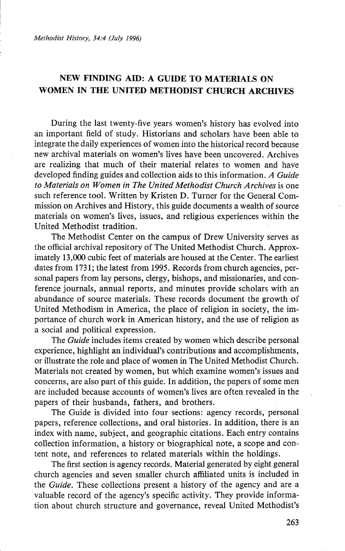*Methodist History, 34:4 (July 1996)* 

## NEW FINDING AID: A GUIDE TO MATERIALS ON WOMEN IN THE UNITED METHODIST CHURCH ARCHIVES

During the last twenty-five years women's history has evolved into an important field of study. Historians and scholars have been able to integrate the daily experiences of women into the historical record because new archival materials on women's lives have been uncovered. Archives are realizing that much of their material relates to women and have developed finding guides and collection aids to this information. *A Guide to Materials on Women in The United Methodist Church Archives* is one such reference tool. Written by Kristen D. Turner for the General Commission on Archives and History, this guide documents a wealth of source materials on women's lives, issues, and religious experiences within the United Methodist tradition.

The Methodist Center on the campus of Drew University serves as the official archival repository of The United Methodist Church. Approximately 13,000 cubic feet of materials are housed at the Center. The earliest dates from 1731; the latest from 1995. Records from church agencies, personal papers from lay persons, clergy, bishops, and missionaries, and conference journals, annual reports, and minutes provide scholars with an abundance of source materials. These records document the growth of United Methodism in America, the place of religion in society, the importance of church work in American history, and the use of religion as a social and political expression.

The *Guide* includes items created by women which describe personal experience, highlight an individual's contributions and accomplishments, or illustrate the role and place of women in The United Methodist Church. Materials not created by women, but which examine women's issues and concerns, are also part of this guide. In addition, the papers of some men are included because accounts of women's lives are often revealed in the papers of their husbands, fathers, and brothers.

The Guide is divided into four sections: agency records, personal papers, reference collections, and oral histories. In addition, tbere is an index with name, subject, and geographic citations. Each entry contains collection information, a history or biographical note, a scope and content note, and references to related materials within the holdings.

The first section is agency records. Material generated by eight general church agencies and seven smaller church affiliated units is included in the *Guide.* These collections present a history of the agency and are a valuable record of the agency's specific activity. They provide information about church structure and governance, reveal United Methodist's